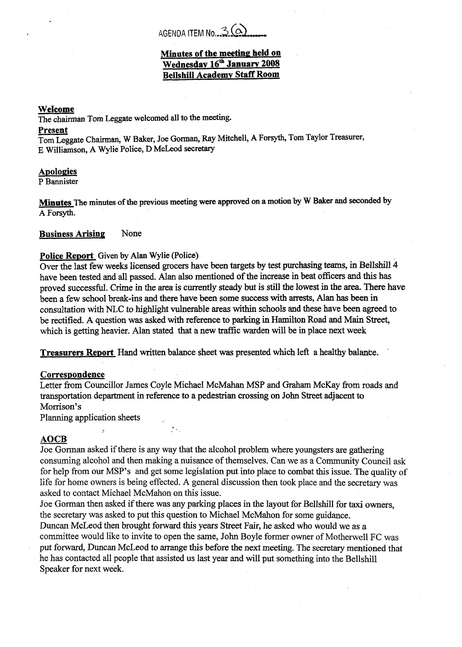# AGENDA ITEM No. 3(a)

# **Minutes of the meetine held on**  Wednesday 16<sup>th</sup> January 2008 **BellshiIl Academv Staff Room**

### **Wefcome**

The chairman **Tom** Leggate welcomed all to **the** meeting.

#### **Present**

Tom Leggate **Chairman,** W **Baker, Joe** Gorman, Ray Mitchell, **A** Forsyth, Tom Taylor Treasurer, E Williamson, A Wylie Police, D McLeod secretary

# **Apologies**

**P** Bannister

**Minutes The** minutes **of** *the* previous meeting were **approved** on **a motion** by **W Baker and seconded by A** Forsyth.

### **Business Arising** None

# **Police Report** Given by Alan Wylie (Police)

Over the last few weeks licensed grocers have been targets by test purchasing teams, in Bellshill 4 have been tested and all passed. Alan also mentioned **of** the increase in beat **officers** and this **has**  proved successful. Crime in the area is currently steady but is still the lowest in the area. There have been a few school break-ins and there have **been** some success with **arrests,** Man **has been** in consultation with NLC to highlight vulnerable areas within schools and these have been agreed to be rectified. **A** question was asked with reference to parking in Hamilton **Road** and Main Street, which is getting heavier. **Alan** stated that a new traffic warden will be in place next week

**Treasurers Report** Hand written balance sheet was presented which left a healthy balance.

### **Correspondence**

Letter from Councillor James Coyle Michael McMahan MSP and Graham McKay from roads and transportation department in reference **to** a pedestrian crossing on John **Street** adjacent to Morrison's

Planning application sheets ,

### **AOCB**

Joe Gorman asked if there is any way that the alcohol problem where youngsters are gathering consuming alcohol and then making a nuisance of themselves. Can we as a Community Council ask for help from our MSP's and get some legislation put into place to combat this issue. The quality of life for home owners is being effected. **A** general discussion then took place and the secretary was asked to contact Michael McMahon on this issue.

Joe Gorman then asked **if** there was any **parking** places in the layout for Bellshill for taxi owners, the secretary was asked to put this question to Michael McMahon for some guidance.

Duncan McLeod then brought forward this years Street Fair, he asked who would we as **a**  committee would like to invite to open the same, John Boyle former owner of Motherwell FC was **put forward,** Duncan McLeod to arrange this before the next meeting. The secretary mentioned that he has contacted all people that assisted us last year and will put something into the Bellshill Speaker for next week.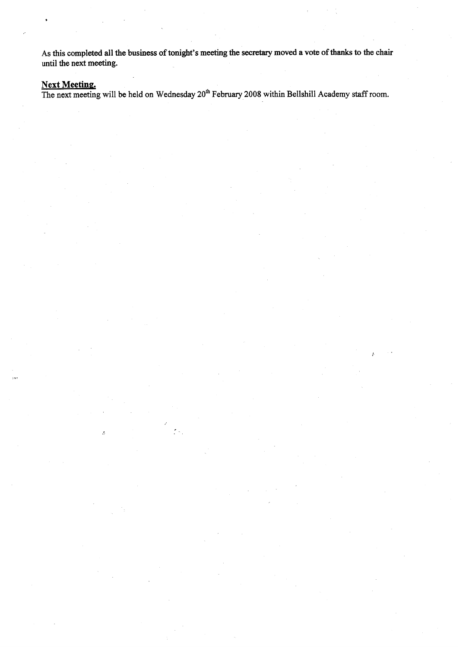**As this completed all the business of tonight's meeting the** secretary **moved a vote of** thanks **to the chair until the next meeting.** 

# **Next Meeting.**

**The next meeting will be held on Wednesday 20th February 2008 within Bellshill Academy staff room.** 

 $\mathbb{R}^2$ 

 $\mathcal{L}$ 

*I'*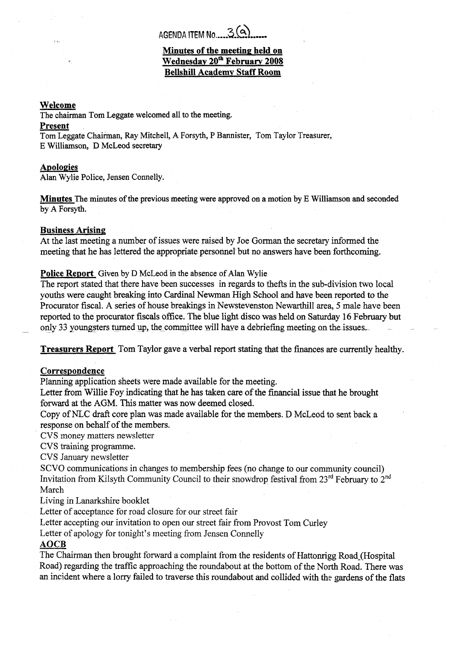# **Minutes of the meeting held on Wednesdav 20\* Februarv 2008 Bellshill Academv Staff Room**

### **Welcome**

The chairman Tom Leggate welcomed all to the meeting.

### **Present**

Tom Leggate Chairman, Ray Mitchell, **A** Forsyth, P Bannister, Tom Taylor Treasurer, E Williamson, D McLeod secretary

### **Apologies**

Alan Wylie Police, Jensen Connelly.

**Minutes** The minutes **of** the previous meeting were approved on a motion by E Williamson and seconded by **A** Forsyth.

### **Business Arising**

At the last meeting a number of issues were raised by Joe Gorman the secretary informed the meeting that he **has** lettered the appropriate personnel but no answers have been forthcoming.

### **Police Report** Given by **D** McLeod in **the** absence of **Alan** Wylie

The report stated that there have been successes in regards to thefts in the sub-division two local youths were caught breaking into Cardinal Newman High School and have been reported to the Procurator fiscal. **A** series of house breakings in Newstevenston Newarthill area, 5 male have been reported to the procurator fiscals office. The blue light disco was held on Saturday **16** February but only 33 youngsters turned up, the committee will have a debriefing meeting on the issues.

**Treasurers Report** Tom Taylor gave **a** verbal report stating that the finances are currently healthy.

# **Correspondence**

Planning application sheets were made available for the meeting.

Letter from Willie Foy indicating that he has taken care of the financial issue that he brought forward at the **AGM.** This matter was now deemed closed.

Copy of NLC **draft** core plan was made available for the members. **D** McLeod to sent back a response on behalf of the members.

CVS money matters newsletter

CVS training programme.

CVS January newsletter

SCVO communications in changes to membership fees (no change to our community council) Invitation from Kilsyth Community Council to their snowdrop festival from 23<sup>rd</sup> February to 2<sup>nd</sup> March

Living in Lanarkshire booklet

Letter of acceptance for road closure for our street fair

Letter accepting our invitation to open our street fair fiom Provost Tom Curley

Letter of apology for tonight's meeting from Jensen Connelly

# **AOCB**

The Chairman then brought forward a complaint from the residents of Hattonrigg Road (Hospital Road) regarding the traffic approaching the roundabout at the bottom of the North Road. There was an incident where a lorry failed to traverse this roundabout and collided with the gardens of the flats